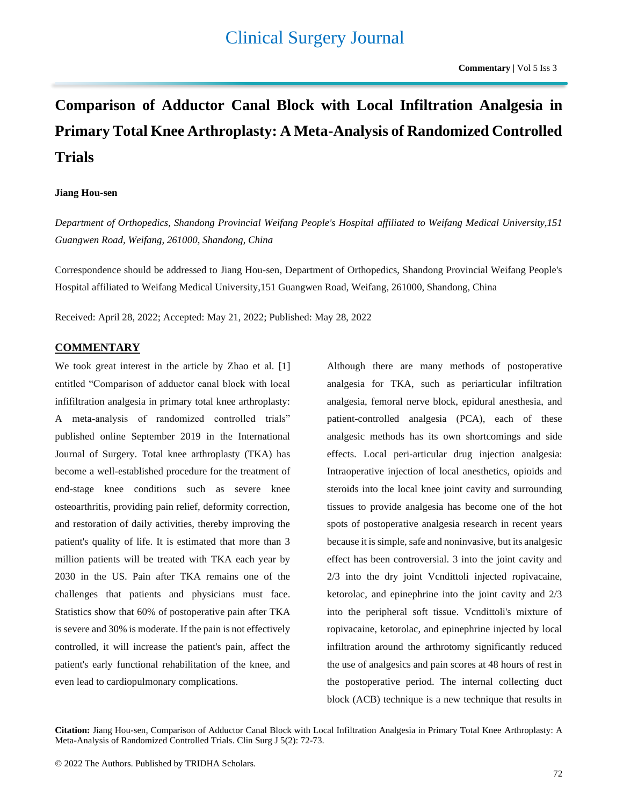# **Comparison of Adductor Canal Block with Local Infiltration Analgesia in Primary Total Knee Arthroplasty: A Meta-Analysis of Randomized Controlled Trials**

#### **Jiang Hou-sen**

*Department of Orthopedics, Shandong Provincial Weifang People's Hospital affiliated to Weifang Medical University,151 Guangwen Road, Weifang, 261000, Shandong, China*

Correspondence should be addressed to Jiang Hou-sen, Department of Orthopedics, Shandong Provincial Weifang People's Hospital affiliated to Weifang Medical University,151 Guangwen Road, Weifang, 261000, Shandong, China

Received: April 28, 2022; Accepted: May 21, 2022; Published: May 28, 2022

## **COMMENTARY**

We took great interest in the article by Zhao et al. [1] entitled "Comparison of adductor canal block with local infifiltration analgesia in primary total knee arthroplasty: A meta-analysis of randomized controlled trials" published online September 2019 in the International Journal of Surgery. Total knee arthroplasty (TKA) has become a well-established procedure for the treatment of end-stage knee conditions such as severe knee osteoarthritis, providing pain relief, deformity correction, and restoration of daily activities, thereby improving the patient's quality of life. It is estimated that more than 3 million patients will be treated with TKA each year by 2030 in the US. Pain after TKA remains one of the challenges that patients and physicians must face. Statistics show that 60% of postoperative pain after TKA is severe and 30% is moderate. If the pain is not effectively controlled, it will increase the patient's pain, affect the patient's early functional rehabilitation of the knee, and even lead to cardiopulmonary complications.

Although there are many methods of postoperative analgesia for TKA, such as periarticular infiltration analgesia, femoral nerve block, epidural anesthesia, and patient-controlled analgesia (PCA), each of these analgesic methods has its own shortcomings and side effects. Local peri-articular drug injection analgesia: Intraoperative injection of local anesthetics, opioids and steroids into the local knee joint cavity and surrounding tissues to provide analgesia has become one of the hot spots of postoperative analgesia research in recent years because it is simple, safe and noninvasive, but its analgesic effect has been controversial. 3 into the joint cavity and 2/3 into the dry joint Vcndittoli injected ropivacaine, ketorolac, and epinephrine into the joint cavity and 2/3 into the peripheral soft tissue. Vcndittoli's mixture of ropivacaine, ketorolac, and epinephrine injected by local infiltration around the arthrotomy significantly reduced the use of analgesics and pain scores at 48 hours of rest in the postoperative period. The internal collecting duct block (ACB) technique is a new technique that results in

**Citation:** Jiang Hou-sen, Comparison of Adductor Canal Block with Local Infiltration Analgesia in Primary Total Knee Arthroplasty: A Meta-Analysis of Randomized Controlled Trials. Clin Surg J 5(2): 72-73.